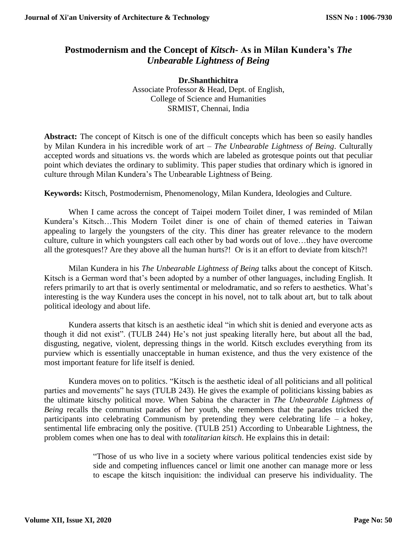## **Postmodernism and the Concept of** *Kitsch***- As in Milan Kundera's** *The Unbearable Lightness of Being*

**Dr.Shanthichitra** Associate Professor & Head, Dept. of English, College of Science and Humanities SRMIST, Chennai, India

**Abstract:** The concept of Kitsch is one of the difficult concepts which has been so easily handles by Milan Kundera in his incredible work of art – *The Unbearable Lightness of Being*. Culturally accepted words and situations vs. the words which are labeled as grotesque points out that peculiar point which deviates the ordinary to sublimity. This paper studies that ordinary which is ignored in culture through Milan Kundera's The Unbearable Lightness of Being.

**Keywords:** Kitsch, Postmodernism, Phenomenology, Milan Kundera, Ideologies and Culture.

When I came across the concept of Taipei modern Toilet diner, I was reminded of Milan Kundera's Kitsch…This Modern Toilet diner is one of chain of themed eateries in Taiwan appealing to largely the youngsters of the city. This diner has greater relevance to the modern culture, culture in which youngsters call each other by bad words out of love…they have overcome all the grotesques!? Are they above all the human hurts?! Or is it an effort to deviate from kitsch?!

Milan Kundera in his *The Unbearable Lightness of Being* talks about the concept of Kitsch. Kitsch is a German word that's been adopted by a number of other languages, including English. It refers primarily to art that is overly sentimental or melodramatic, and so refers to aesthetics. What's interesting is the way Kundera uses the concept in his novel, not to talk about art, but to talk about political ideology and about life.

Kundera asserts that kitsch is an aesthetic ideal "in which shit is denied and everyone acts as though it did not exist". (TULB 244) He's not just speaking literally here, but about all the bad, disgusting, negative, violent, depressing things in the world. Kitsch excludes everything from its purview which is essentially unacceptable in human existence, and thus the very existence of the most important feature for life itself is denied.

Kundera moves on to politics. "Kitsch is the aesthetic ideal of all politicians and all political parties and movements" he says (TULB 243). He gives the example of politicians kissing babies as the ultimate kitschy political move. When Sabina the character in *The Unbearable Lightness of Being* recalls the communist parades of her youth, she remembers that the parades tricked the participants into celebrating Communism by pretending they were celebrating life – a hokey, sentimental life embracing only the positive. (TULB 251) According to Unbearable Lightness, the problem comes when one has to deal with *totalitarian kitsch*. He explains this in detail:

> "Those of us who live in a society where various political tendencies exist side by side and competing influences cancel or limit one another can manage more or less to escape the kitsch inquisition: the individual can preserve his individuality. The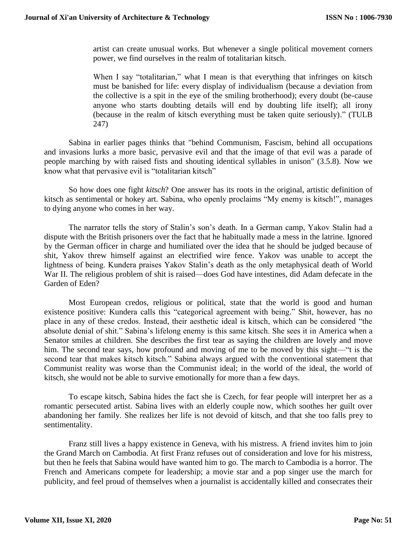artist can create unusual works. But whenever a single political movement corners power, we find ourselves in the realm of totalitarian kitsch.

When I say "totalitarian," what I mean is that everything that infringes on kitsch must be banished for life: every display of individualism (because a deviation from the collective is a spit in the eye of the smiling brotherhood); every doubt (be-cause anyone who starts doubting details will end by doubting life itself); all irony (because in the realm of kitsch everything must be taken quite seriously)." (TULB 247)

Sabina in earlier pages thinks that "behind Communism, Fascism, behind all occupations and invasions lurks a more basic, pervasive evil and that the image of that evil was a parade of people marching by with raised fists and shouting identical syllables in unison" (3.5.8). Now we know what that pervasive evil is "totalitarian kitsch"

So how does one fight *kitsch*? One answer has its roots in the original, artistic definition of kitsch as sentimental or hokey art. Sabina, who openly proclaims "My enemy is kitsch!", manages to dying anyone who comes in her way.

The narrator tells the story of Stalin's son's death. In a German camp, Yakov Stalin had a dispute with the British prisoners over the fact that he habitually made a mess in the latrine. Ignored by the German officer in charge and humiliated over the idea that he should be judged because of shit, Yakov threw himself against an electrified wire fence. Yakov was unable to accept the lightness of being. Kundera praises Yakov Stalin's death as the only metaphysical death of World War II. The religious problem of shit is raised—does God have intestines, did Adam defecate in the Garden of Eden?

Most European credos, religious or political, state that the world is good and human existence positive: Kundera calls this "categorical agreement with being." Shit, however, has no place in any of these credos. Instead, their aesthetic ideal is kitsch, which can be considered "the absolute denial of shit." Sabina's lifelong enemy is this same kitsch. She sees it in America when a Senator smiles at children. She describes the first tear as saying the children are lovely and move him. The second tear says, how profound and moving of me to be moved by this sight—"t is the second tear that makes kitsch kitsch." Sabina always argued with the conventional statement that Communist reality was worse than the Communist ideal; in the world of the ideal, the world of kitsch, she would not be able to survive emotionally for more than a few days.

To escape kitsch, Sabina hides the fact she is Czech, for fear people will interpret her as a romantic persecuted artist. Sabina lives with an elderly couple now, which soothes her guilt over abandoning her family. She realizes her life is not devoid of kitsch, and that she too falls prey to sentimentality.

Franz still lives a happy existence in Geneva, with his mistress. A friend invites him to join the Grand March on Cambodia. At first Franz refuses out of consideration and love for his mistress, but then he feels that Sabina would have wanted him to go. The march to Cambodia is a horror. The French and Americans compete for leadership; a movie star and a pop singer use the march for publicity, and feel proud of themselves when a journalist is accidentally killed and consecrates their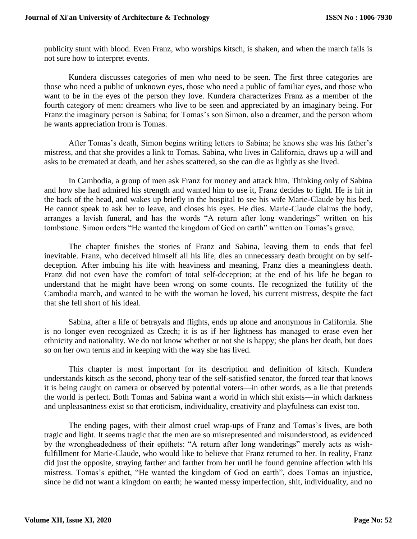publicity stunt with blood. Even Franz, who worships kitsch, is shaken, and when the march fails is not sure how to interpret events.

Kundera discusses categories of men who need to be seen. The first three categories are those who need a public of unknown eyes, those who need a public of familiar eyes, and those who want to be in the eyes of the person they love. Kundera characterizes Franz as a member of the fourth category of men: dreamers who live to be seen and appreciated by an imaginary being. For Franz the imaginary person is Sabina; for Tomas's son Simon, also a dreamer, and the person whom he wants appreciation from is Tomas.

After Tomas's death, Simon begins writing letters to Sabina; he knows she was his father's mistress, and that she provides a link to Tomas. Sabina, who lives in California, draws up a will and asks to be cremated at death, and her ashes scattered, so she can die as lightly as she lived.

In Cambodia, a group of men ask Franz for money and attack him. Thinking only of Sabina and how she had admired his strength and wanted him to use it, Franz decides to fight. He is hit in the back of the head, and wakes up briefly in the hospital to see his wife Marie-Claude by his bed. He cannot speak to ask her to leave, and closes his eyes. He dies. Marie-Claude claims the body, arranges a lavish funeral, and has the words "A return after long wanderings" written on his tombstone. Simon orders "He wanted the kingdom of God on earth" written on Tomas's grave.

The chapter finishes the stories of Franz and Sabina, leaving them to ends that feel inevitable. Franz, who deceived himself all his life, dies an unnecessary death brought on by selfdeception. After imbuing his life with heaviness and meaning, Franz dies a meaningless death. Franz did not even have the comfort of total self-deception; at the end of his life he began to understand that he might have been wrong on some counts. He recognized the futility of the Cambodia march, and wanted to be with the woman he loved, his current mistress, despite the fact that she fell short of his ideal.

Sabina, after a life of betrayals and flights, ends up alone and anonymous in California. She is no longer even recognized as Czech; it is as if her lightness has managed to erase even her ethnicity and nationality. We do not know whether or not she is happy; she plans her death, but does so on her own terms and in keeping with the way she has lived.

This chapter is most important for its description and definition of kitsch. Kundera understands kitsch as the second, phony tear of the self-satisfied senator, the forced tear that knows it is being caught on camera or observed by potential voters—in other words, as a lie that pretends the world is perfect. Both Tomas and Sabina want a world in which shit exists—in which darkness and unpleasantness exist so that eroticism, individuality, creativity and playfulness can exist too.

The ending pages, with their almost cruel wrap-ups of Franz and Tomas's lives, are both tragic and light. It seems tragic that the men are so misrepresented and misunderstood, as evidenced by the wrongheadedness of their epithets: "A return after long wanderings" merely acts as wishfulfillment for Marie-Claude, who would like to believe that Franz returned to her. In reality, Franz did just the opposite, straying farther and farther from her until he found genuine affection with his mistress. Tomas's epithet, "He wanted the kingdom of God on earth", does Tomas an injustice, since he did not want a kingdom on earth; he wanted messy imperfection, shit, individuality, and no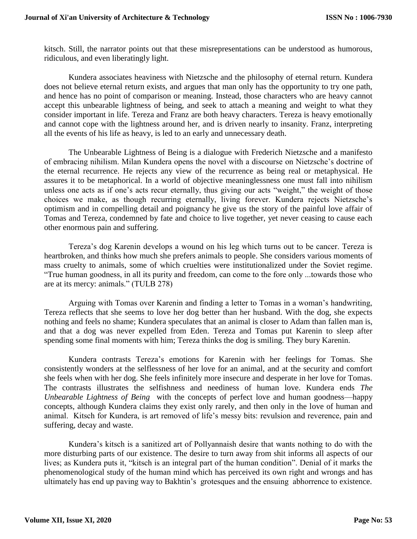kitsch. Still, the narrator points out that these misrepresentations can be understood as humorous, ridiculous, and even liberatingly light.

Kundera associates heaviness with Nietzsche and the philosophy of eternal return. Kundera does not believe eternal return exists, and argues that man only has the opportunity to try one path, and hence has no point of comparison or meaning. Instead, those characters who are heavy cannot accept this unbearable lightness of being, and seek to attach a meaning and weight to what they consider important in life. Tereza and Franz are both heavy characters. Tereza is heavy emotionally and cannot cope with the lightness around her, and is driven nearly to insanity. Franz, interpreting all the events of his life as heavy, is led to an early and unnecessary death.

The Unbearable Lightness of Being is a dialogue with Frederich Nietzsche and a manifesto of embracing nihilism. Milan Kundera opens the novel with a discourse on Nietzsche's doctrine of the eternal recurrence. He rejects any view of the recurrence as being real or metaphysical. He assures it to be metaphorical. In a world of objective meaninglessness one must fall into nihilism unless one acts as if one's acts recur eternally, thus giving our acts "weight," the weight of those choices we make, as though recurring eternally, living forever. Kundera rejects Nietzsche's optimism and in compelling detail and poignancy he give us the story of the painful love affair of Tomas and Tereza, condemned by fate and choice to live together, yet never ceasing to cause each other enormous pain and suffering.

Tereza's dog Karenin develops a wound on his leg which turns out to be cancer. Tereza is heartbroken, and thinks how much she prefers animals to people. She considers various moments of mass cruelty to animals, some of which cruelties were institutionalized under the Soviet regime. "True human goodness, in all its purity and freedom, can come to the fore only ...towards those who are at its mercy: animals." (TULB 278)

Arguing with Tomas over Karenin and finding a letter to Tomas in a woman's handwriting, Tereza reflects that she seems to love her dog better than her husband. With the dog, she expects nothing and feels no shame; Kundera speculates that an animal is closer to Adam than fallen man is, and that a dog was never expelled from Eden. Tereza and Tomas put Karenin to sleep after spending some final moments with him; Tereza thinks the dog is smiling. They bury Karenin.

Kundera contrasts Tereza's emotions for Karenin with her feelings for Tomas. She consistently wonders at the selflessness of her love for an animal, and at the security and comfort she feels when with her dog. She feels infinitely more insecure and desperate in her love for Tomas. The contrasts illustrates the selfishness and neediness of human love. Kundera ends *The Unbearable Lightness of Being* with the concepts of perfect love and human goodness—happy concepts, although Kundera claims they exist only rarely, and then only in the love of human and animal. Kitsch for Kundera, is art removed of life's messy bits: revulsion and reverence, pain and suffering, decay and waste.

Kundera's kitsch is a sanitized art of Pollyannaish desire that wants nothing to do with the more disturbing parts of our existence. The desire to turn away from shit informs all aspects of our lives; as Kundera puts it, "kitsch is an integral part of the human condition". Denial of it marks the phenomenological study of the human mind which has perceived its own right and wrongs and has ultimately has end up paving way to Bakhtin's grotesques and the ensuing abhorrence to existence.